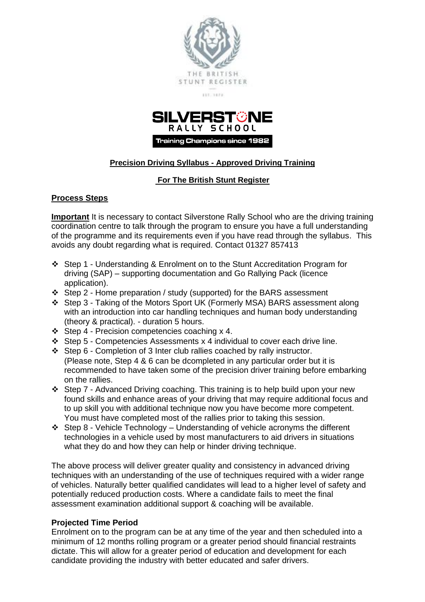



# **Precision Driving Syllabus - Approved Driving Training**

## **For The British Stunt Register**

## **Process Steps**

**Important** It is necessary to contact Silverstone Rally School who are the driving training coordination centre to talk through the program to ensure you have a full understanding of the programme and its requirements even if you have read through the syllabus. This avoids any doubt regarding what is required. Contact 01327 857413

- ❖ Step 1 Understanding & Enrolment on to the Stunt Accreditation Program for driving (SAP) – supporting documentation and Go Rallying Pack (licence application).
- ❖ Step 2 Home preparation / study (supported) for the BARS assessment
- ❖ Step 3 Taking of the Motors Sport UK (Formerly MSA) BARS assessment along with an introduction into car handling techniques and human body understanding (theory & practical). - duration 5 hours.
- ❖ Step 4 Precision competencies coaching x 4.
- ❖ Step 5 Competencies Assessments x 4 individual to cover each drive line.
- ❖ Step 6 Completion of 3 Inter club rallies coached by rally instructor. (Please note, Step 4 & 6 can be dcompleted in any particular order but it is recommended to have taken some of the precision driver training before embarking on the rallies.
- ❖ Step 7 Advanced Driving coaching. This training is to help build upon your new found skills and enhance areas of your driving that may require additional focus and to up skill you with additional technique now you have become more competent. You must have completed most of the rallies prior to taking this session.
- ❖ Step 8 Vehicle Technology Understanding of vehicle acronyms the different technologies in a vehicle used by most manufacturers to aid drivers in situations what they do and how they can help or hinder driving technique.

The above process will deliver greater quality and consistency in advanced driving techniques with an understanding of the use of techniques required with a wider range of vehicles. Naturally better qualified candidates will lead to a higher level of safety and potentially reduced production costs. Where a candidate fails to meet the final assessment examination additional support & coaching will be available.

## **Projected Time Period**

Enrolment on to the program can be at any time of the year and then scheduled into a minimum of 12 months rolling program or a greater period should financial restraints dictate. This will allow for a greater period of education and development for each candidate providing the industry with better educated and safer drivers.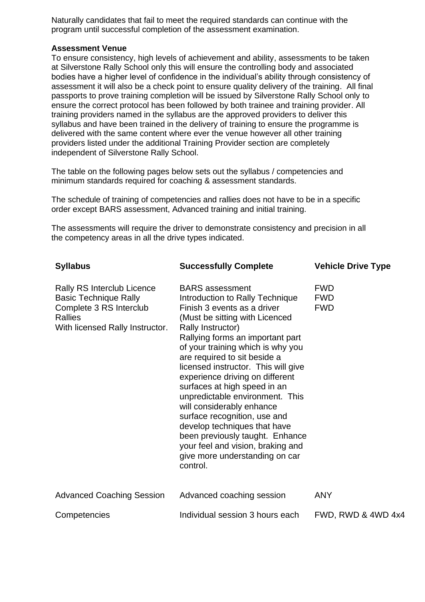Naturally candidates that fail to meet the required standards can continue with the program until successful completion of the assessment examination.

#### **Assessment Venue**

To ensure consistency, high levels of achievement and ability, assessments to be taken at Silverstone Rally School only this will ensure the controlling body and associated bodies have a higher level of confidence in the individual's ability through consistency of assessment it will also be a check point to ensure quality delivery of the training. All final passports to prove training completion will be issued by Silverstone Rally School only to ensure the correct protocol has been followed by both trainee and training provider. All training providers named in the syllabus are the approved providers to deliver this syllabus and have been trained in the delivery of training to ensure the programme is delivered with the same content where ever the venue however all other training providers listed under the additional Training Provider section are completely independent of Silverstone Rally School.

The table on the following pages below sets out the syllabus / competencies and minimum standards required for coaching & assessment standards.

The schedule of training of competencies and rallies does not have to be in a specific order except BARS assessment, Advanced training and initial training.

The assessments will require the driver to demonstrate consistency and precision in all the competency areas in all the drive types indicated.

| <b>Syllabus</b>                                                                                                                            | <b>Successfully Complete</b>                                                                                                                                                                                                                                                                                                                                                                                                                                                                                                                                                                                             | <b>Vehicle Drive Type</b>              |
|--------------------------------------------------------------------------------------------------------------------------------------------|--------------------------------------------------------------------------------------------------------------------------------------------------------------------------------------------------------------------------------------------------------------------------------------------------------------------------------------------------------------------------------------------------------------------------------------------------------------------------------------------------------------------------------------------------------------------------------------------------------------------------|----------------------------------------|
| Rally RS Interclub Licence<br><b>Basic Technique Rally</b><br>Complete 3 RS Interclub<br><b>Rallies</b><br>With licensed Rally Instructor. | <b>BARS</b> assessment<br>Introduction to Rally Technique<br>Finish 3 events as a driver<br>(Must be sitting with Licenced<br>Rally Instructor)<br>Rallying forms an important part<br>of your training which is why you<br>are required to sit beside a<br>licensed instructor. This will give<br>experience driving on different<br>surfaces at high speed in an<br>unpredictable environment. This<br>will considerably enhance<br>surface recognition, use and<br>develop techniques that have<br>been previously taught. Enhance<br>your feel and vision, braking and<br>give more understanding on car<br>control. | <b>FWD</b><br><b>FWD</b><br><b>FWD</b> |
| <b>Advanced Coaching Session</b>                                                                                                           | Advanced coaching session                                                                                                                                                                                                                                                                                                                                                                                                                                                                                                                                                                                                | <b>ANY</b>                             |
| Competencies                                                                                                                               | Individual session 3 hours each                                                                                                                                                                                                                                                                                                                                                                                                                                                                                                                                                                                          | FWD, RWD & 4WD 4x4                     |
|                                                                                                                                            |                                                                                                                                                                                                                                                                                                                                                                                                                                                                                                                                                                                                                          |                                        |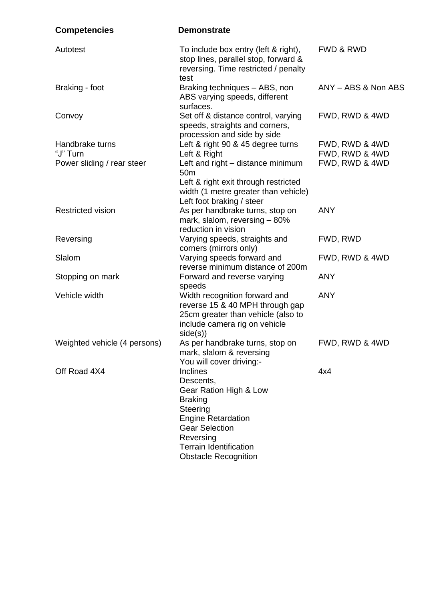| <b>Competencies</b>          | <b>Demonstrate</b>                                                                                                                                      |                      |
|------------------------------|---------------------------------------------------------------------------------------------------------------------------------------------------------|----------------------|
| Autotest                     | To include box entry (left & right),<br>stop lines, parallel stop, forward &<br>reversing. Time restricted / penalty<br>test                            | <b>FWD &amp; RWD</b> |
| Braking - foot               | Braking techniques - ABS, non<br>ABS varying speeds, different<br>surfaces.                                                                             | ANY - ABS & Non ABS  |
| Convoy                       | Set off & distance control, varying<br>speeds, straights and corners,<br>procession and side by side                                                    | FWD, RWD & 4WD       |
| Handbrake turns              | Left & right 90 & 45 degree turns                                                                                                                       | FWD, RWD & 4WD       |
| "J" Turn                     | Left & Right                                                                                                                                            | FWD, RWD & 4WD       |
| Power sliding / rear steer   | Left and right – distance minimum<br>50 <sub>m</sub>                                                                                                    | FWD, RWD & 4WD       |
|                              | Left & right exit through restricted<br>width (1 metre greater than vehicle)<br>Left foot braking / steer                                               |                      |
| <b>Restricted vision</b>     | As per handbrake turns, stop on<br>mark, slalom, reversing - 80%<br>reduction in vision                                                                 | <b>ANY</b>           |
| Reversing                    | Varying speeds, straights and<br>corners (mirrors only)                                                                                                 | FWD, RWD             |
| Slalom                       | Varying speeds forward and<br>reverse minimum distance of 200m                                                                                          | FWD, RWD & 4WD       |
| Stopping on mark             | Forward and reverse varying<br>speeds                                                                                                                   | <b>ANY</b>           |
| Vehicle width                | Width recognition forward and<br>reverse 15 & 40 MPH through gap<br>25cm greater than vehicle (also to<br>include camera rig on vehicle<br>side(s))     | <b>ANY</b>           |
| Weighted vehicle (4 persons) | As per handbrake turns, stop on<br>mark, slalom & reversing<br>You will cover driving:-                                                                 | FWD, RWD & 4WD       |
| Off Road 4X4                 | <b>Inclines</b><br>Descents,<br>Gear Ration High & Low<br><b>Braking</b><br>Steering<br><b>Engine Retardation</b><br><b>Gear Selection</b><br>Reversing | 4x4                  |
|                              | <b>Terrain Identification</b><br><b>Obstacle Recognition</b>                                                                                            |                      |